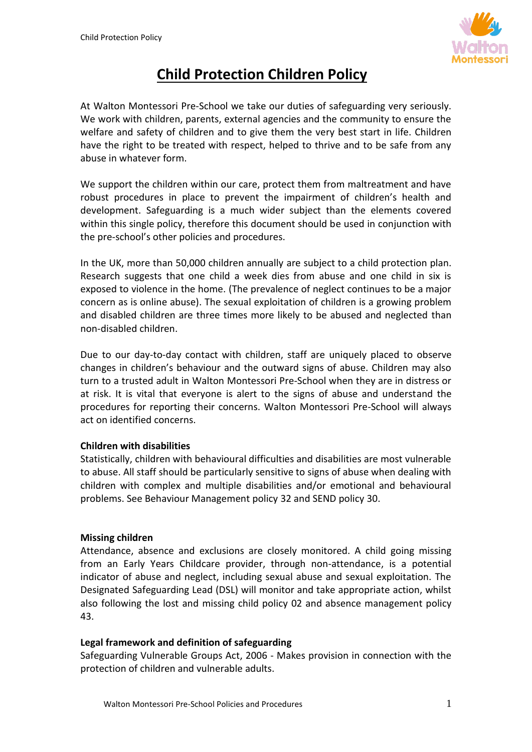

# **Child Protection Children Policy**

At Walton Montessori Pre-School we take our duties of safeguarding very seriously. We work with children, parents, external agencies and the community to ensure the welfare and safety of children and to give them the very best start in life. Children have the right to be treated with respect, helped to thrive and to be safe from any abuse in whatever form.

We support the children within our care, protect them from maltreatment and have robust procedures in place to prevent the impairment of children's health and development. Safeguarding is a much wider subject than the elements covered within this single policy, therefore this document should be used in conjunction with the pre-school's other policies and procedures.

In the UK, more than 50,000 children annually are subject to a child protection plan. Research suggests that one child a week dies from abuse and one child in six is exposed to violence in the home. (The prevalence of neglect continues to be a major concern as is online abuse). The sexual exploitation of children is a growing problem and disabled children are three times more likely to be abused and neglected than non-disabled children.

Due to our day-to-day contact with children, staff are uniquely placed to observe changes in children's behaviour and the outward signs of abuse. Children may also turn to a trusted adult in Walton Montessori Pre-School when they are in distress or at risk. It is vital that everyone is alert to the signs of abuse and understand the procedures for reporting their concerns. Walton Montessori Pre-School will always act on identified concerns.

# **Children with disabilities**

Statistically, children with behavioural difficulties and disabilities are most vulnerable to abuse. All staff should be particularly sensitive to signs of abuse when dealing with children with complex and multiple disabilities and/or emotional and behavioural problems. See Behaviour Management policy 32 and SEND policy 30.

# **Missing children**

Attendance, absence and exclusions are closely monitored. A child going missing from an Early Years Childcare provider, through non-attendance, is a potential indicator of abuse and neglect, including sexual abuse and sexual exploitation. The Designated Safeguarding Lead (DSL) will monitor and take appropriate action, whilst also following the lost and missing child policy 02 and absence management policy 43.

# **Legal framework and definition of safeguarding**

Safeguarding Vulnerable Groups Act, 2006 - Makes provision in connection with the protection of children and vulnerable adults.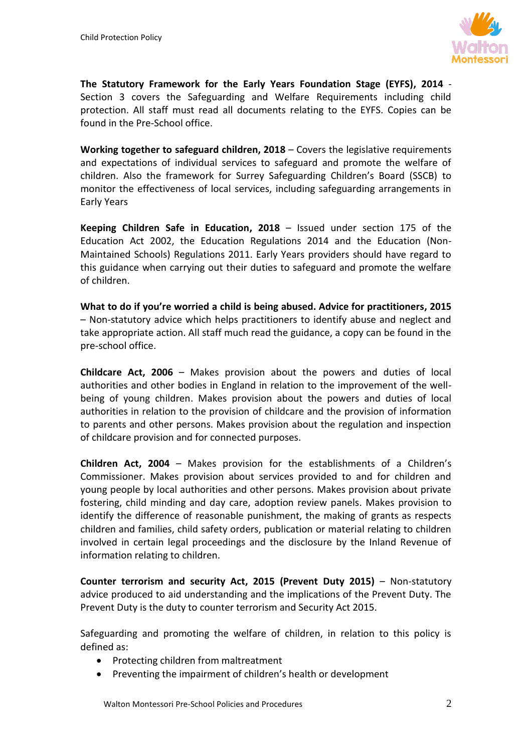

**The Statutory Framework for the Early Years Foundation Stage (EYFS), 2014** - Section 3 covers the Safeguarding and Welfare Requirements including child protection. All staff must read all documents relating to the EYFS. Copies can be found in the Pre-School office.

**Working together to safeguard children, 2018** – Covers the legislative requirements and expectations of individual services to safeguard and promote the welfare of children. Also the framework for Surrey Safeguarding Children's Board (SSCB) to monitor the effectiveness of local services, including safeguarding arrangements in Early Years

**Keeping Children Safe in Education, 2018** – Issued under section 175 of the Education Act 2002, the Education Regulations 2014 and the Education (Non-Maintained Schools) Regulations 2011. Early Years providers should have regard to this guidance when carrying out their duties to safeguard and promote the welfare of children.

**What to do if you're worried a child is being abused. Advice for practitioners, 2015** – Non-statutory advice which helps practitioners to identify abuse and neglect and take appropriate action. All staff much read the guidance, a copy can be found in the pre-school office.

**Childcare Act, 2006** – Makes provision about the powers and duties of local authorities and other bodies in England in relation to the improvement of the wellbeing of young children. Makes provision about the powers and duties of local authorities in relation to the provision of childcare and the provision of information to parents and other persons. Makes provision about the regulation and inspection of childcare provision and for connected purposes.

**Children Act, 2004** – Makes provision for the establishments of a Children's Commissioner. Makes provision about services provided to and for children and young people by local authorities and other persons. Makes provision about private fostering, child minding and day care, adoption review panels. Makes provision to identify the difference of reasonable punishment, the making of grants as respects children and families, child safety orders, publication or material relating to children involved in certain legal proceedings and the disclosure by the Inland Revenue of information relating to children.

**Counter terrorism and security Act, 2015 (Prevent Duty 2015)** – Non-statutory advice produced to aid understanding and the implications of the Prevent Duty. The Prevent Duty is the duty to counter terrorism and Security Act 2015.

Safeguarding and promoting the welfare of children, in relation to this policy is defined as:

- Protecting children from maltreatment
- Preventing the impairment of children's health or development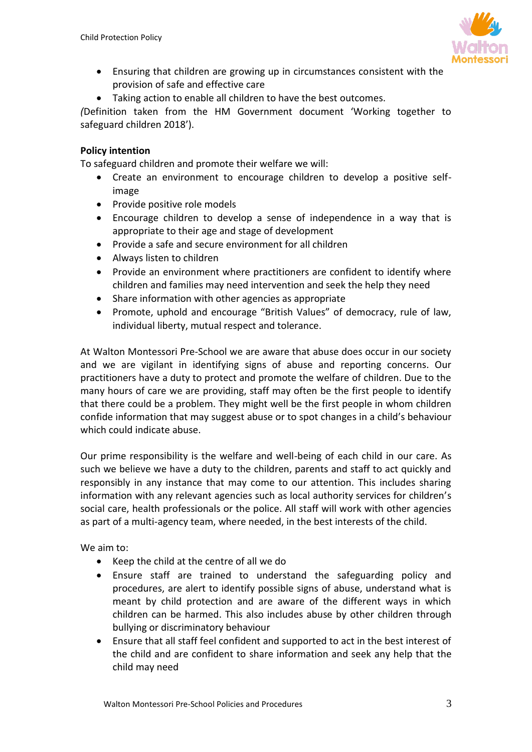

- Ensuring that children are growing up in circumstances consistent with the provision of safe and effective care
- Taking action to enable all children to have the best outcomes.

*(*Definition taken from the HM Government document 'Working together to safeguard children 2018').

# **Policy intention**

To safeguard children and promote their welfare we will:

- Create an environment to encourage children to develop a positive selfimage
- Provide positive role models
- Encourage children to develop a sense of independence in a way that is appropriate to their age and stage of development
- Provide a safe and secure environment for all children
- Always listen to children
- Provide an environment where practitioners are confident to identify where children and families may need intervention and seek the help they need
- Share information with other agencies as appropriate
- Promote, uphold and encourage "British Values" of democracy, rule of law, individual liberty, mutual respect and tolerance.

At Walton Montessori Pre-School we are aware that abuse does occur in our society and we are vigilant in identifying signs of abuse and reporting concerns. Our practitioners have a duty to protect and promote the welfare of children. Due to the many hours of care we are providing, staff may often be the first people to identify that there could be a problem. They might well be the first people in whom children confide information that may suggest abuse or to spot changes in a child's behaviour which could indicate abuse.

Our prime responsibility is the welfare and well-being of each child in our care. As such we believe we have a duty to the children, parents and staff to act quickly and responsibly in any instance that may come to our attention. This includes sharing information with any relevant agencies such as local authority services for children's social care, health professionals or the police. All staff will work with other agencies as part of a multi-agency team, where needed, in the best interests of the child.

We aim to:

- Keep the child at the centre of all we do
- Ensure staff are trained to understand the safeguarding policy and procedures, are alert to identify possible signs of abuse, understand what is meant by child protection and are aware of the different ways in which children can be harmed. This also includes abuse by other children through bullying or discriminatory behaviour
- Ensure that all staff feel confident and supported to act in the best interest of the child and are confident to share information and seek any help that the child may need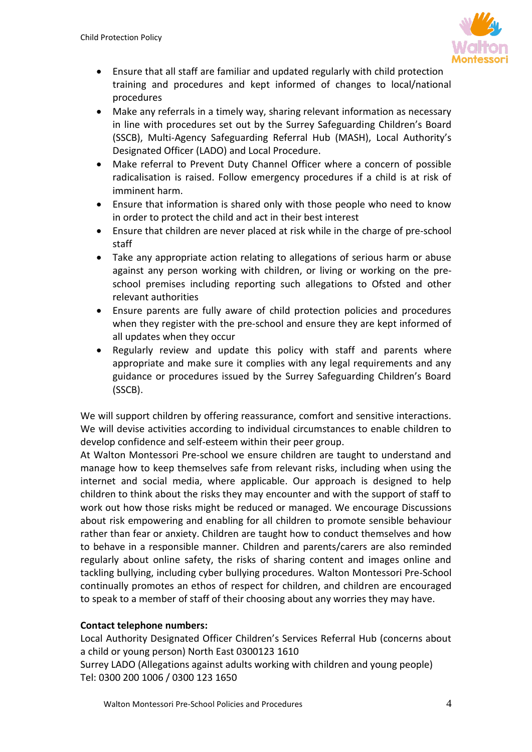

- Ensure that all staff are familiar and updated regularly with child protection training and procedures and kept informed of changes to local/national procedures
- Make any referrals in a timely way, sharing relevant information as necessary in line with procedures set out by the Surrey Safeguarding Children's Board (SSCB), Multi-Agency Safeguarding Referral Hub (MASH), Local Authority's Designated Officer (LADO) and Local Procedure.
- Make referral to Prevent Duty Channel Officer where a concern of possible radicalisation is raised. Follow emergency procedures if a child is at risk of imminent harm.
- Ensure that information is shared only with those people who need to know in order to protect the child and act in their best interest
- Ensure that children are never placed at risk while in the charge of pre-school staff
- Take any appropriate action relating to allegations of serious harm or abuse against any person working with children, or living or working on the preschool premises including reporting such allegations to Ofsted and other relevant authorities
- Ensure parents are fully aware of child protection policies and procedures when they register with the pre-school and ensure they are kept informed of all updates when they occur
- Regularly review and update this policy with staff and parents where appropriate and make sure it complies with any legal requirements and any guidance or procedures issued by the Surrey Safeguarding Children's Board (SSCB).

We will support children by offering reassurance, comfort and sensitive interactions. We will devise activities according to individual circumstances to enable children to develop confidence and self-esteem within their peer group.

At Walton Montessori Pre-school we ensure children are taught to understand and manage how to keep themselves safe from relevant risks, including when using the internet and social media, where applicable. Our approach is designed to help children to think about the risks they may encounter and with the support of staff to work out how those risks might be reduced or managed. We encourage Discussions about risk empowering and enabling for all children to promote sensible behaviour rather than fear or anxiety. Children are taught how to conduct themselves and how to behave in a responsible manner. Children and parents/carers are also reminded regularly about online safety, the risks of sharing content and images online and tackling bullying, including cyber bullying procedures. Walton Montessori Pre-School continually promotes an ethos of respect for children, and children are encouraged to speak to a member of staff of their choosing about any worries they may have.

# **Contact telephone numbers:**

Local Authority Designated Officer Children's Services Referral Hub (concerns about a child or young person) North East 0300123 1610 Surrey LADO (Allegations against adults working with children and young people) Tel: 0300 200 1006 / 0300 123 1650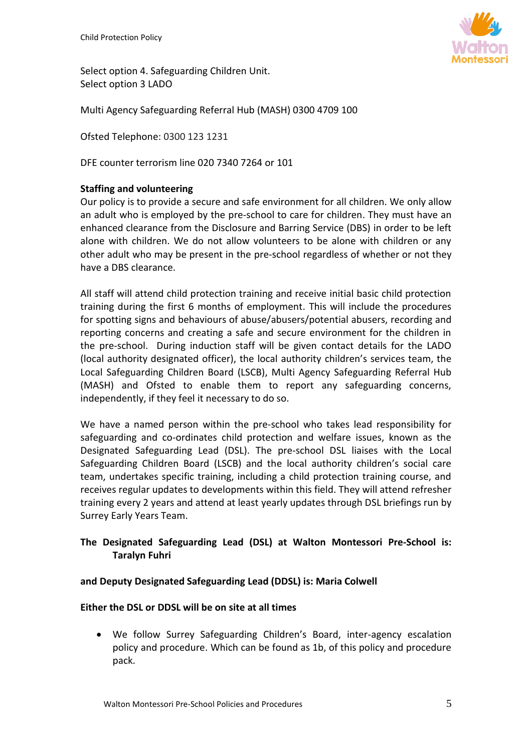

Select option 4. Safeguarding Children Unit. Select option 3 LADO

Multi Agency Safeguarding Referral Hub (MASH) 0300 4709 100

Ofsted Telephone: 0300 123 1231

DFE counter terrorism line 020 7340 7264 or 101

## **Staffing and volunteering**

Our policy is to provide a secure and safe environment for all children. We only allow an adult who is employed by the pre-school to care for children. They must have an enhanced clearance from the Disclosure and Barring Service (DBS) in order to be left alone with children. We do not allow volunteers to be alone with children or any other adult who may be present in the pre-school regardless of whether or not they have a DBS clearance.

All staff will attend child protection training and receive initial basic child protection training during the first 6 months of employment. This will include the procedures for spotting signs and behaviours of abuse/abusers/potential abusers, recording and reporting concerns and creating a safe and secure environment for the children in the pre-school. During induction staff will be given contact details for the LADO (local authority designated officer), the local authority children's services team, the Local Safeguarding Children Board (LSCB), Multi Agency Safeguarding Referral Hub (MASH) and Ofsted to enable them to report any safeguarding concerns, independently, if they feel it necessary to do so.

We have a named person within the pre-school who takes lead responsibility for safeguarding and co-ordinates child protection and welfare issues, known as the Designated Safeguarding Lead (DSL). The pre-school DSL liaises with the Local Safeguarding Children Board (LSCB) and the local authority children's social care team, undertakes specific training, including a child protection training course, and receives regular updates to developments within this field. They will attend refresher training every 2 years and attend at least yearly updates through DSL briefings run by Surrey Early Years Team.

# **The Designated Safeguarding Lead (DSL) at Walton Montessori Pre-School is: Taralyn Fuhri**

## **and Deputy Designated Safeguarding Lead (DDSL) is: Maria Colwell**

## **Either the DSL or DDSL will be on site at all times**

• We follow Surrey Safeguarding Children's Board, inter-agency escalation policy and procedure. Which can be found as 1b, of this policy and procedure pack.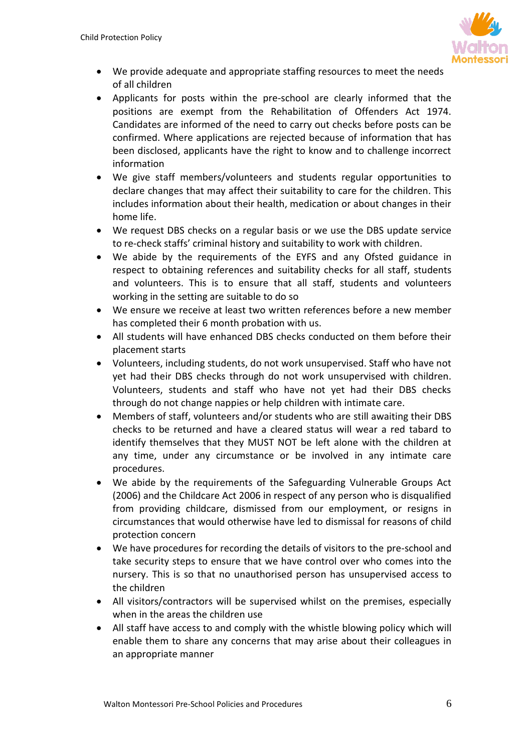

- We provide adequate and appropriate staffing resources to meet the needs of all children
- Applicants for posts within the pre-school are clearly informed that the positions are exempt from the Rehabilitation of Offenders Act 1974. Candidates are informed of the need to carry out checks before posts can be confirmed. Where applications are rejected because of information that has been disclosed, applicants have the right to know and to challenge incorrect information
- We give staff members/volunteers and students regular opportunities to declare changes that may affect their suitability to care for the children. This includes information about their health, medication or about changes in their home life.
- We request DBS checks on a regular basis or we use the DBS update service to re-check staffs' criminal history and suitability to work with children.
- We abide by the requirements of the EYFS and any Ofsted guidance in respect to obtaining references and suitability checks for all staff, students and volunteers. This is to ensure that all staff, students and volunteers working in the setting are suitable to do so
- We ensure we receive at least two written references before a new member has completed their 6 month probation with us.
- All students will have enhanced DBS checks conducted on them before their placement starts
- Volunteers, including students, do not work unsupervised. Staff who have not yet had their DBS checks through do not work unsupervised with children. Volunteers, students and staff who have not yet had their DBS checks through do not change nappies or help children with intimate care.
- Members of staff, volunteers and/or students who are still awaiting their DBS checks to be returned and have a cleared status will wear a red tabard to identify themselves that they MUST NOT be left alone with the children at any time, under any circumstance or be involved in any intimate care procedures.
- We abide by the requirements of the Safeguarding Vulnerable Groups Act (2006) and the Childcare Act 2006 in respect of any person who is disqualified from providing childcare, dismissed from our employment, or resigns in circumstances that would otherwise have led to dismissal for reasons of child protection concern
- We have procedures for recording the details of visitors to the pre-school and take security steps to ensure that we have control over who comes into the nursery. This is so that no unauthorised person has unsupervised access to the children
- All visitors/contractors will be supervised whilst on the premises, especially when in the areas the children use
- All staff have access to and comply with the whistle blowing policy which will enable them to share any concerns that may arise about their colleagues in an appropriate manner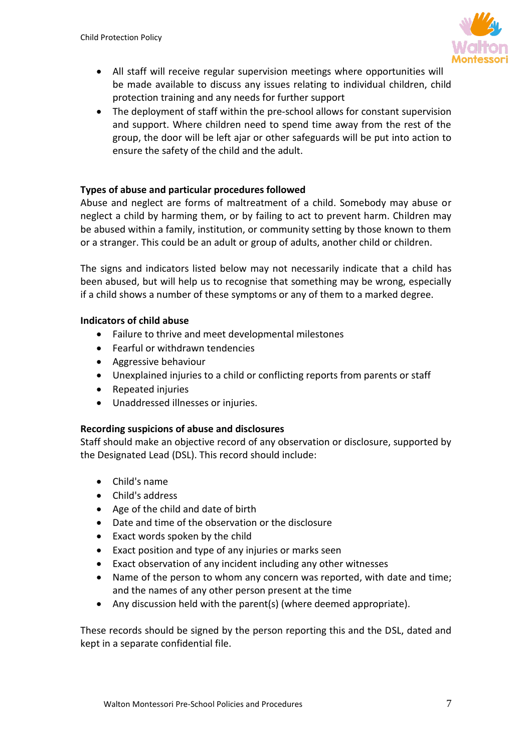

- All staff will receive regular supervision meetings where opportunities will be made available to discuss any issues relating to individual children, child protection training and any needs for further support
- The deployment of staff within the pre-school allows for constant supervision and support. Where children need to spend time away from the rest of the group, the door will be left ajar or other safeguards will be put into action to ensure the safety of the child and the adult.

# **Types of abuse and particular procedures followed**

Abuse and neglect are forms of maltreatment of a child. Somebody may abuse or neglect a child by harming them, or by failing to act to prevent harm. Children may be abused within a family, institution, or community setting by those known to them or a stranger. This could be an adult or group of adults, another child or children.

The signs and indicators listed below may not necessarily indicate that a child has been abused, but will help us to recognise that something may be wrong, especially if a child shows a number of these symptoms or any of them to a marked degree.

## **Indicators of child abuse**

- Failure to thrive and meet developmental milestones
- Fearful or withdrawn tendencies
- Aggressive behaviour
- Unexplained injuries to a child or conflicting reports from parents or staff
- Repeated injuries
- Unaddressed illnesses or injuries.

## **Recording suspicions of abuse and disclosures**

Staff should make an objective record of any observation or disclosure, supported by the Designated Lead (DSL). This record should include:

- Child's name
- Child's address
- Age of the child and date of birth
- Date and time of the observation or the disclosure
- Exact words spoken by the child
- Exact position and type of any injuries or marks seen
- Exact observation of any incident including any other witnesses
- Name of the person to whom any concern was reported, with date and time; and the names of any other person present at the time
- Any discussion held with the parent(s) (where deemed appropriate).

These records should be signed by the person reporting this and the DSL, dated and kept in a separate confidential file.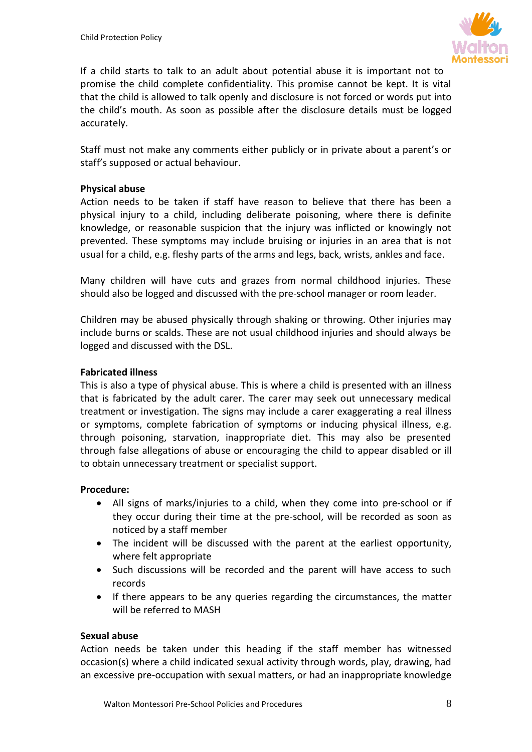

If a child starts to talk to an adult about potential abuse it is important not to promise the child complete confidentiality. This promise cannot be kept. It is vital that the child is allowed to talk openly and disclosure is not forced or words put into the child's mouth. As soon as possible after the disclosure details must be logged accurately.

Staff must not make any comments either publicly or in private about a parent's or staff's supposed or actual behaviour.

## **Physical abuse**

Action needs to be taken if staff have reason to believe that there has been a physical injury to a child, including deliberate poisoning, where there is definite knowledge, or reasonable suspicion that the injury was inflicted or knowingly not prevented. These symptoms may include bruising or injuries in an area that is not usual for a child, e.g. fleshy parts of the arms and legs, back, wrists, ankles and face.

Many children will have cuts and grazes from normal childhood injuries. These should also be logged and discussed with the pre-school manager or room leader.

Children may be abused physically through shaking or throwing. Other injuries may include burns or scalds. These are not usual childhood injuries and should always be logged and discussed with the DSL.

## **Fabricated illness**

This is also a type of physical abuse. This is where a child is presented with an illness that is fabricated by the adult carer. The carer may seek out unnecessary medical treatment or investigation. The signs may include a carer exaggerating a real illness or symptoms, complete fabrication of symptoms or inducing physical illness, e.g. through poisoning, starvation, inappropriate diet. This may also be presented through false allegations of abuse or encouraging the child to appear disabled or ill to obtain unnecessary treatment or specialist support.

## **Procedure:**

- All signs of marks/injuries to a child, when they come into pre-school or if they occur during their time at the pre-school, will be recorded as soon as noticed by a staff member
- The incident will be discussed with the parent at the earliest opportunity, where felt appropriate
- Such discussions will be recorded and the parent will have access to such records
- If there appears to be any queries regarding the circumstances, the matter will be referred to MASH

## **Sexual abuse**

Action needs be taken under this heading if the staff member has witnessed occasion(s) where a child indicated sexual activity through words, play, drawing, had an excessive pre-occupation with sexual matters, or had an inappropriate knowledge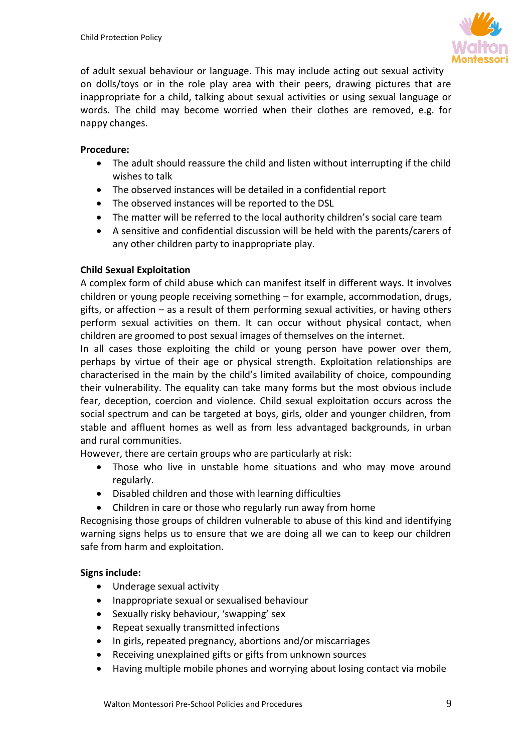

of adult sexual behaviour or language. This may include acting out sexual activity on dolls/toys or in the role play area with their peers, drawing pictures that are inappropriate for a child, talking about sexual activities or using sexual language or words. The child may become worried when their clothes are removed, e.g. for nappy changes.

# **Procedure:**

- The adult should reassure the child and listen without interrupting if the child wishes to talk
- The observed instances will be detailed in a confidential report
- The observed instances will be reported to the DSL
- The matter will be referred to the local authority children's social care team
- A sensitive and confidential discussion will be held with the parents/carers of any other children party to inappropriate play.

# **Child Sexual Exploitation**

A complex form of child abuse which can manifest itself in different ways. It involves children or young people receiving something – for example, accommodation, drugs, gifts, or affection – as a result of them performing sexual activities, or having others perform sexual activities on them. It can occur without physical contact, when children are groomed to post sexual images of themselves on the internet.

In all cases those exploiting the child or young person have power over them, perhaps by virtue of their age or physical strength. Exploitation relationships are characterised in the main by the child's limited availability of choice, compounding their vulnerability. The equality can take many forms but the most obvious include fear, deception, coercion and violence. Child sexual exploitation occurs across the social spectrum and can be targeted at boys, girls, older and younger children, from stable and affluent homes as well as from less advantaged backgrounds, in urban and rural communities.

However, there are certain groups who are particularly at risk:

- Those who live in unstable home situations and who may move around regularly.
- Disabled children and those with learning difficulties
- Children in care or those who regularly run away from home

Recognising those groups of children vulnerable to abuse of this kind and identifying warning signs helps us to ensure that we are doing all we can to keep our children safe from harm and exploitation.

# **Signs include:**

- Underage sexual activity
- Inappropriate sexual or sexualised behaviour
- Sexually risky behaviour, 'swapping' sex
- Repeat sexually transmitted infections
- In girls, repeated pregnancy, abortions and/or miscarriages
- Receiving unexplained gifts or gifts from unknown sources
- Having multiple mobile phones and worrying about losing contact via mobile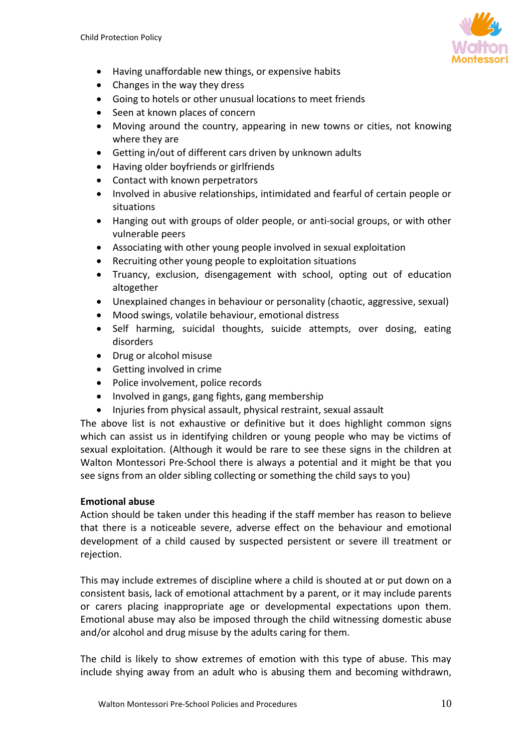

- Having unaffordable new things, or expensive habits
- Changes in the way they dress
- Going to hotels or other unusual locations to meet friends
- Seen at known places of concern
- Moving around the country, appearing in new towns or cities, not knowing where they are
- Getting in/out of different cars driven by unknown adults
- Having older boyfriends or girlfriends
- Contact with known perpetrators
- Involved in abusive relationships, intimidated and fearful of certain people or situations
- Hanging out with groups of older people, or anti-social groups, or with other vulnerable peers
- Associating with other young people involved in sexual exploitation
- Recruiting other young people to exploitation situations
- Truancy, exclusion, disengagement with school, opting out of education altogether
- Unexplained changes in behaviour or personality (chaotic, aggressive, sexual)
- Mood swings, volatile behaviour, emotional distress
- Self harming, suicidal thoughts, suicide attempts, over dosing, eating disorders
- Drug or alcohol misuse
- Getting involved in crime
- Police involvement, police records
- Involved in gangs, gang fights, gang membership
- Injuries from physical assault, physical restraint, sexual assault

The above list is not exhaustive or definitive but it does highlight common signs which can assist us in identifying children or young people who may be victims of sexual exploitation. (Although it would be rare to see these signs in the children at Walton Montessori Pre-School there is always a potential and it might be that you see signs from an older sibling collecting or something the child says to you)

# **Emotional abuse**

Action should be taken under this heading if the staff member has reason to believe that there is a noticeable severe, adverse effect on the behaviour and emotional development of a child caused by suspected persistent or severe ill treatment or rejection.

This may include extremes of discipline where a child is shouted at or put down on a consistent basis, lack of emotional attachment by a parent, or it may include parents or carers placing inappropriate age or developmental expectations upon them. Emotional abuse may also be imposed through the child witnessing domestic abuse and/or alcohol and drug misuse by the adults caring for them.

The child is likely to show extremes of emotion with this type of abuse. This may include shying away from an adult who is abusing them and becoming withdrawn,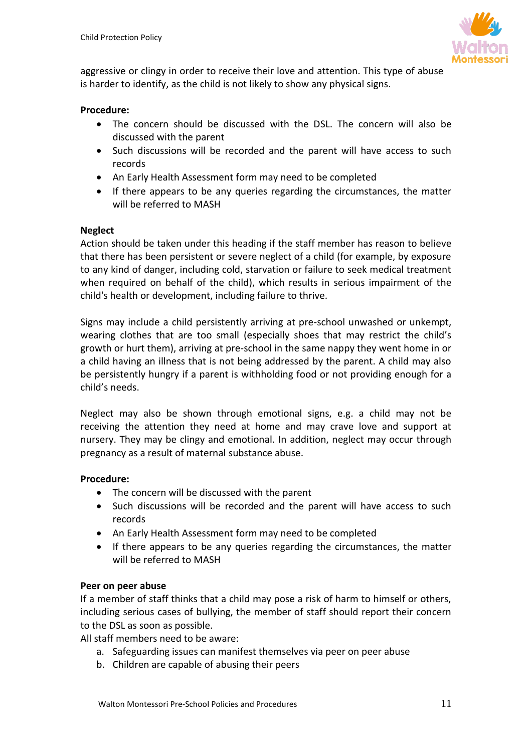

aggressive or clingy in order to receive their love and attention. This type of abuse is harder to identify, as the child is not likely to show any physical signs.

## **Procedure:**

- The concern should be discussed with the DSL. The concern will also be discussed with the parent
- Such discussions will be recorded and the parent will have access to such records
- An Early Health Assessment form may need to be completed
- If there appears to be any queries regarding the circumstances, the matter will be referred to MASH

## **Neglect**

Action should be taken under this heading if the staff member has reason to believe that there has been persistent or severe neglect of a child (for example, by exposure to any kind of danger, including cold, starvation or failure to seek medical treatment when required on behalf of the child), which results in serious impairment of the child's health or development, including failure to thrive.

Signs may include a child persistently arriving at pre-school unwashed or unkempt, wearing clothes that are too small (especially shoes that may restrict the child's growth or hurt them), arriving at pre-school in the same nappy they went home in or a child having an illness that is not being addressed by the parent. A child may also be persistently hungry if a parent is withholding food or not providing enough for a child's needs.

Neglect may also be shown through emotional signs, e.g. a child may not be receiving the attention they need at home and may crave love and support at nursery. They may be clingy and emotional. In addition, neglect may occur through pregnancy as a result of maternal substance abuse.

## **Procedure:**

- The concern will be discussed with the parent
- Such discussions will be recorded and the parent will have access to such records
- An Early Health Assessment form may need to be completed
- If there appears to be any queries regarding the circumstances, the matter will be referred to MASH

## **Peer on peer abuse**

If a member of staff thinks that a child may pose a risk of harm to himself or others, including serious cases of bullying, the member of staff should report their concern to the DSL as soon as possible.

All staff members need to be aware:

- a. Safeguarding issues can manifest themselves via peer on peer abuse
- b. Children are capable of abusing their peers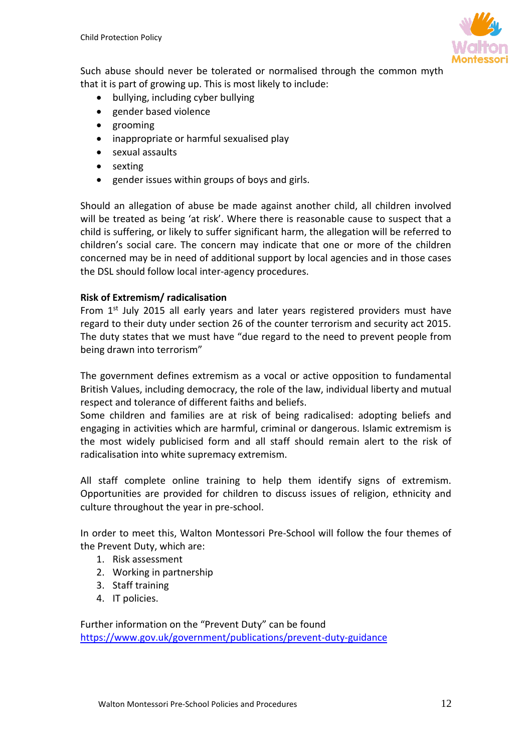

Such abuse should never be tolerated or normalised through the common myth that it is part of growing up. This is most likely to include:

- bullying, including cyber bullying
- gender based violence
- grooming
- inappropriate or harmful sexualised play
- sexual assaults
- sexting
- gender issues within groups of boys and girls.

Should an allegation of abuse be made against another child, all children involved will be treated as being 'at risk'. Where there is reasonable cause to suspect that a child is suffering, or likely to suffer significant harm, the allegation will be referred to children's social care. The concern may indicate that one or more of the children concerned may be in need of additional support by local agencies and in those cases the DSL should follow local inter-agency procedures.

## **Risk of Extremism/ radicalisation**

From 1<sup>st</sup> July 2015 all early years and later years registered providers must have regard to their duty under section 26 of the counter terrorism and security act 2015. The duty states that we must have "due regard to the need to prevent people from being drawn into terrorism"

The government defines extremism as a vocal or active opposition to fundamental British Values, including democracy, the role of the law, individual liberty and mutual respect and tolerance of different faiths and beliefs.

Some children and families are at risk of being radicalised: adopting beliefs and engaging in activities which are harmful, criminal or dangerous. Islamic extremism is the most widely publicised form and all staff should remain alert to the risk of radicalisation into white supremacy extremism.

All staff complete online training to help them identify signs of extremism. Opportunities are provided for children to discuss issues of religion, ethnicity and culture throughout the year in pre-school.

In order to meet this, Walton Montessori Pre-School will follow the four themes of the Prevent Duty, which are:

- 1. Risk assessment
- 2. Working in partnership
- 3. Staff training
- 4. IT policies.

Further information on the "Prevent Duty" can be found <https://www.gov.uk/government/publications/prevent-duty-guidance>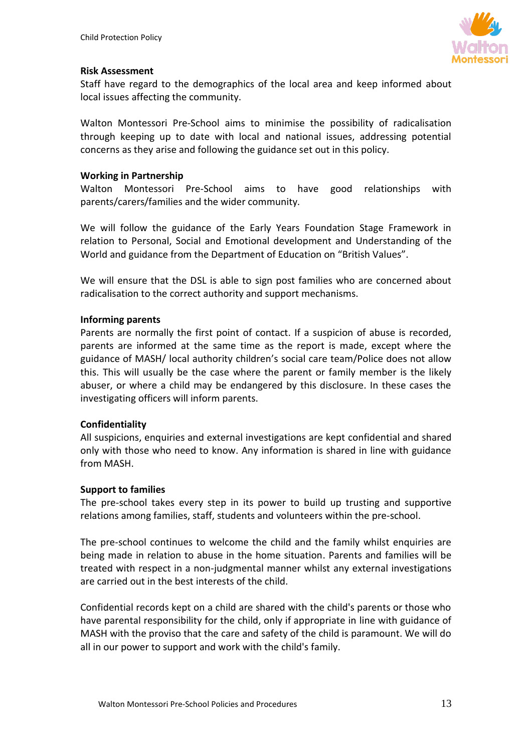

## **Risk Assessment**

Staff have regard to the demographics of the local area and keep informed about local issues affecting the community.

Walton Montessori Pre-School aims to minimise the possibility of radicalisation through keeping up to date with local and national issues, addressing potential concerns as they arise and following the guidance set out in this policy.

#### **Working in Partnership**

Walton Montessori Pre-School aims to have good relationships with parents/carers/families and the wider community.

We will follow the guidance of the Early Years Foundation Stage Framework in relation to Personal, Social and Emotional development and Understanding of the World and guidance from the Department of Education on "British Values".

We will ensure that the DSL is able to sign post families who are concerned about radicalisation to the correct authority and support mechanisms.

#### **Informing parents**

Parents are normally the first point of contact. If a suspicion of abuse is recorded, parents are informed at the same time as the report is made, except where the guidance of MASH/ local authority children's social care team/Police does not allow this. This will usually be the case where the parent or family member is the likely abuser, or where a child may be endangered by this disclosure. In these cases the investigating officers will inform parents.

## **Confidentiality**

All suspicions, enquiries and external investigations are kept confidential and shared only with those who need to know. Any information is shared in line with guidance from MASH.

#### **Support to families**

The pre-school takes every step in its power to build up trusting and supportive relations among families, staff, students and volunteers within the pre-school.

The pre-school continues to welcome the child and the family whilst enquiries are being made in relation to abuse in the home situation. Parents and families will be treated with respect in a non-judgmental manner whilst any external investigations are carried out in the best interests of the child.

Confidential records kept on a child are shared with the child's parents or those who have parental responsibility for the child, only if appropriate in line with guidance of MASH with the proviso that the care and safety of the child is paramount. We will do all in our power to support and work with the child's family.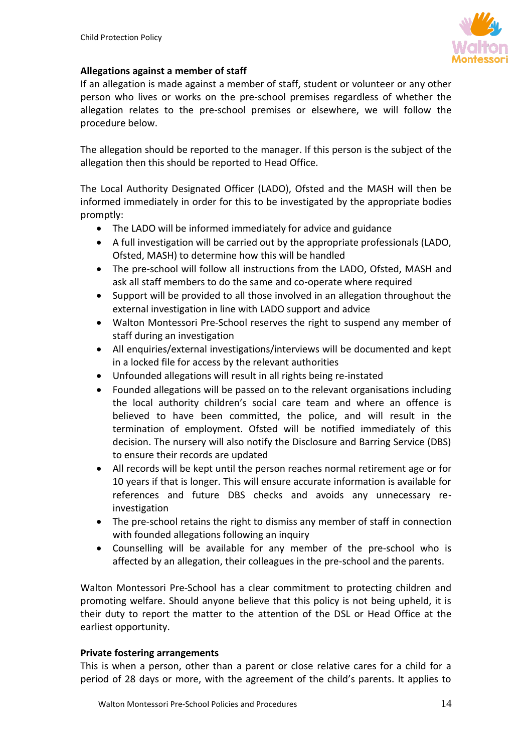

## **Allegations against a member of staff**

If an allegation is made against a member of staff, student or volunteer or any other person who lives or works on the pre-school premises regardless of whether the allegation relates to the pre-school premises or elsewhere, we will follow the procedure below.

The allegation should be reported to the manager. If this person is the subject of the allegation then this should be reported to Head Office.

The Local Authority Designated Officer (LADO), Ofsted and the MASH will then be informed immediately in order for this to be investigated by the appropriate bodies promptly:

- The LADO will be informed immediately for advice and guidance
- A full investigation will be carried out by the appropriate professionals (LADO, Ofsted, MASH) to determine how this will be handled
- The pre-school will follow all instructions from the LADO, Ofsted, MASH and ask all staff members to do the same and co-operate where required
- Support will be provided to all those involved in an allegation throughout the external investigation in line with LADO support and advice
- Walton Montessori Pre-School reserves the right to suspend any member of staff during an investigation
- All enquiries/external investigations/interviews will be documented and kept in a locked file for access by the relevant authorities
- Unfounded allegations will result in all rights being re-instated
- Founded allegations will be passed on to the relevant organisations including the local authority children's social care team and where an offence is believed to have been committed, the police, and will result in the termination of employment. Ofsted will be notified immediately of this decision. The nursery will also notify the Disclosure and Barring Service (DBS) to ensure their records are updated
- All records will be kept until the person reaches normal retirement age or for 10 years if that is longer. This will ensure accurate information is available for references and future DBS checks and avoids any unnecessary reinvestigation
- The pre-school retains the right to dismiss any member of staff in connection with founded allegations following an inquiry
- Counselling will be available for any member of the pre-school who is affected by an allegation, their colleagues in the pre-school and the parents.

Walton Montessori Pre-School has a clear commitment to protecting children and promoting welfare. Should anyone believe that this policy is not being upheld, it is their duty to report the matter to the attention of the DSL or Head Office at the earliest opportunity.

## **Private fostering arrangements**

This is when a person, other than a parent or close relative cares for a child for a period of 28 days or more, with the agreement of the child's parents. It applies to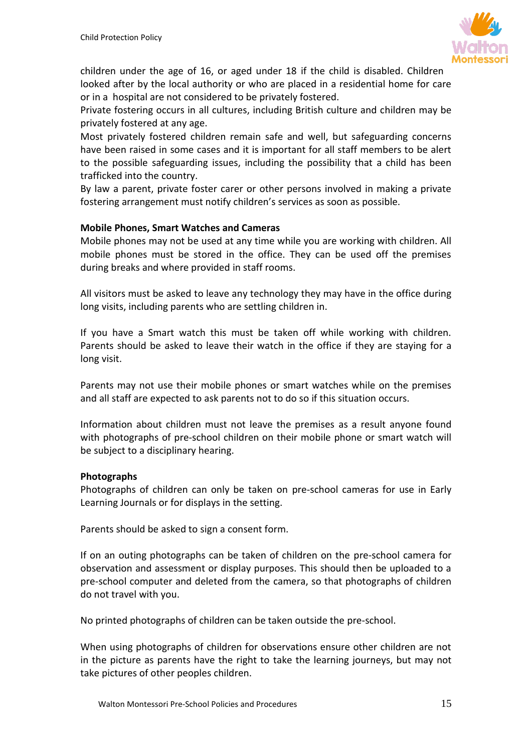

children under the age of 16, or aged under 18 if the child is disabled. Children looked after by the local authority or who are placed in a residential home for care or in a hospital are not considered to be privately fostered.

Private fostering occurs in all cultures, including British culture and children may be privately fostered at any age.

Most privately fostered children remain safe and well, but safeguarding concerns have been raised in some cases and it is important for all staff members to be alert to the possible safeguarding issues, including the possibility that a child has been trafficked into the country.

By law a parent, private foster carer or other persons involved in making a private fostering arrangement must notify children's services as soon as possible.

## **Mobile Phones, Smart Watches and Cameras**

Mobile phones may not be used at any time while you are working with children. All mobile phones must be stored in the office. They can be used off the premises during breaks and where provided in staff rooms.

All visitors must be asked to leave any technology they may have in the office during long visits, including parents who are settling children in.

If you have a Smart watch this must be taken off while working with children. Parents should be asked to leave their watch in the office if they are staying for a long visit.

Parents may not use their mobile phones or smart watches while on the premises and all staff are expected to ask parents not to do so if this situation occurs.

Information about children must not leave the premises as a result anyone found with photographs of pre-school children on their mobile phone or smart watch will be subject to a disciplinary hearing.

## **Photographs**

Photographs of children can only be taken on pre-school cameras for use in Early Learning Journals or for displays in the setting.

Parents should be asked to sign a consent form.

If on an outing photographs can be taken of children on the pre-school camera for observation and assessment or display purposes. This should then be uploaded to a pre-school computer and deleted from the camera, so that photographs of children do not travel with you.

No printed photographs of children can be taken outside the pre-school.

When using photographs of children for observations ensure other children are not in the picture as parents have the right to take the learning journeys, but may not take pictures of other peoples children.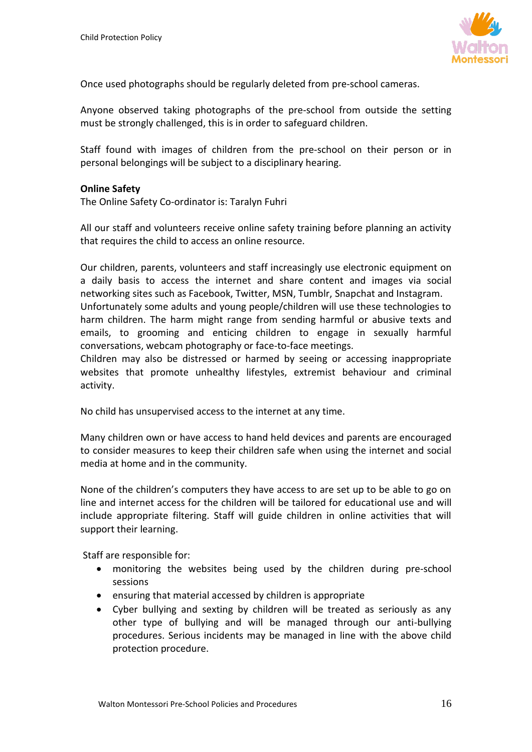

Once used photographs should be regularly deleted from pre-school cameras.

Anyone observed taking photographs of the pre-school from outside the setting must be strongly challenged, this is in order to safeguard children.

Staff found with images of children from the pre-school on their person or in personal belongings will be subject to a disciplinary hearing.

## **Online Safety**

The Online Safety Co-ordinator is: Taralyn Fuhri

All our staff and volunteers receive online safety training before planning an activity that requires the child to access an online resource.

Our children, parents, volunteers and staff increasingly use electronic equipment on a daily basis to access the internet and share content and images via social networking sites such as Facebook, Twitter, MSN, Tumblr, Snapchat and Instagram. Unfortunately some adults and young people/children will use these technologies to harm children. The harm might range from sending harmful or abusive texts and emails, to grooming and enticing children to engage in sexually harmful conversations, webcam photography or face-to-face meetings.

Children may also be distressed or harmed by seeing or accessing inappropriate websites that promote unhealthy lifestyles, extremist behaviour and criminal activity.

No child has unsupervised access to the internet at any time.

Many children own or have access to hand held devices and parents are encouraged to consider measures to keep their children safe when using the internet and social media at home and in the community.

None of the children's computers they have access to are set up to be able to go on line and internet access for the children will be tailored for educational use and will include appropriate filtering. Staff will guide children in online activities that will support their learning.

Staff are responsible for:

- monitoring the websites being used by the children during pre-school sessions
- ensuring that material accessed by children is appropriate
- Cyber bullying and sexting by children will be treated as seriously as any other type of bullying and will be managed through our anti-bullying procedures. Serious incidents may be managed in line with the above child protection procedure.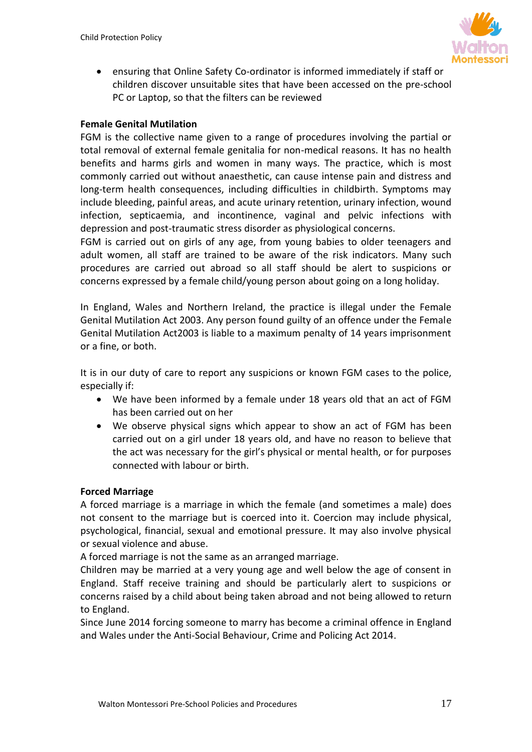

• ensuring that Online Safety Co-ordinator is informed immediately if staff or children discover unsuitable sites that have been accessed on the pre-school PC or Laptop, so that the filters can be reviewed

## **Female Genital Mutilation**

FGM is the collective name given to a range of procedures involving the partial or total removal of external female genitalia for non-medical reasons. It has no health benefits and harms girls and women in many ways. The practice, which is most commonly carried out without anaesthetic, can cause intense pain and distress and long-term health consequences, including difficulties in childbirth. Symptoms may include bleeding, painful areas, and acute urinary retention, urinary infection, wound infection, septicaemia, and incontinence, vaginal and pelvic infections with depression and post-traumatic stress disorder as physiological concerns.

FGM is carried out on girls of any age, from young babies to older teenagers and adult women, all staff are trained to be aware of the risk indicators. Many such procedures are carried out abroad so all staff should be alert to suspicions or concerns expressed by a female child/young person about going on a long holiday.

In England, Wales and Northern Ireland, the practice is illegal under the Female Genital Mutilation Act 2003. Any person found guilty of an offence under the Female Genital Mutilation Act2003 is liable to a maximum penalty of 14 years imprisonment or a fine, or both.

It is in our duty of care to report any suspicions or known FGM cases to the police, especially if:

- We have been informed by a female under 18 years old that an act of FGM has been carried out on her
- We observe physical signs which appear to show an act of FGM has been carried out on a girl under 18 years old, and have no reason to believe that the act was necessary for the girl's physical or mental health, or for purposes connected with labour or birth.

## **Forced Marriage**

A forced marriage is a marriage in which the female (and sometimes a male) does not consent to the marriage but is coerced into it. Coercion may include physical, psychological, financial, sexual and emotional pressure. It may also involve physical or sexual violence and abuse.

A forced marriage is not the same as an arranged marriage.

Children may be married at a very young age and well below the age of consent in England. Staff receive training and should be particularly alert to suspicions or concerns raised by a child about being taken abroad and not being allowed to return to England.

Since June 2014 forcing someone to marry has become a criminal offence in England and Wales under the Anti-Social Behaviour, Crime and Policing Act 2014.